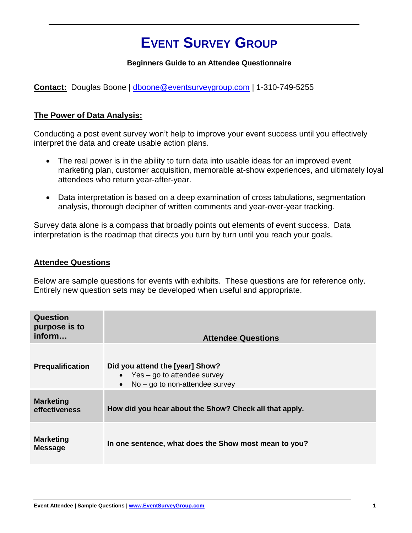## **EVENT SURVEY GROUP**

## **Beginners Guide to an Attendee Questionnaire**

**Contact:** Douglas Boone | [dboone@eventsurveygroup.com](mailto:dboone@eventsurveygroup.com) | 1-310-749-5255

## **The Power of Data Analysis:**

Conducting a post event survey won't help to improve your event success until you effectively interpret the data and create usable action plans.

- The real power is in the ability to turn data into usable ideas for an improved event marketing plan, customer acquisition, memorable at-show experiences, and ultimately loyal attendees who return year-after-year.
- Data interpretation is based on a deep examination of cross tabulations, segmentation analysis, thorough decipher of written comments and year-over-year tracking.

Survey data alone is a compass that broadly points out elements of event success. Data interpretation is the roadmap that directs you turn by turn until you reach your goals.

## **Attendee Questions**

Below are sample questions for events with exhibits. These questions are for reference only. Entirely new question sets may be developed when useful and appropriate.

| Question<br>purpose is to<br>inform | <b>Attendee Questions</b>                                                                                           |
|-------------------------------------|---------------------------------------------------------------------------------------------------------------------|
| Prequalification                    | Did you attend the [year] Show?<br>• Yes $-$ go to attendee survey<br>$No - go to non-attendee survey$<br>$\bullet$ |
| <b>Marketing</b><br>effectiveness   | How did you hear about the Show? Check all that apply.                                                              |
| <b>Marketing</b><br><b>Message</b>  | In one sentence, what does the Show most mean to you?                                                               |